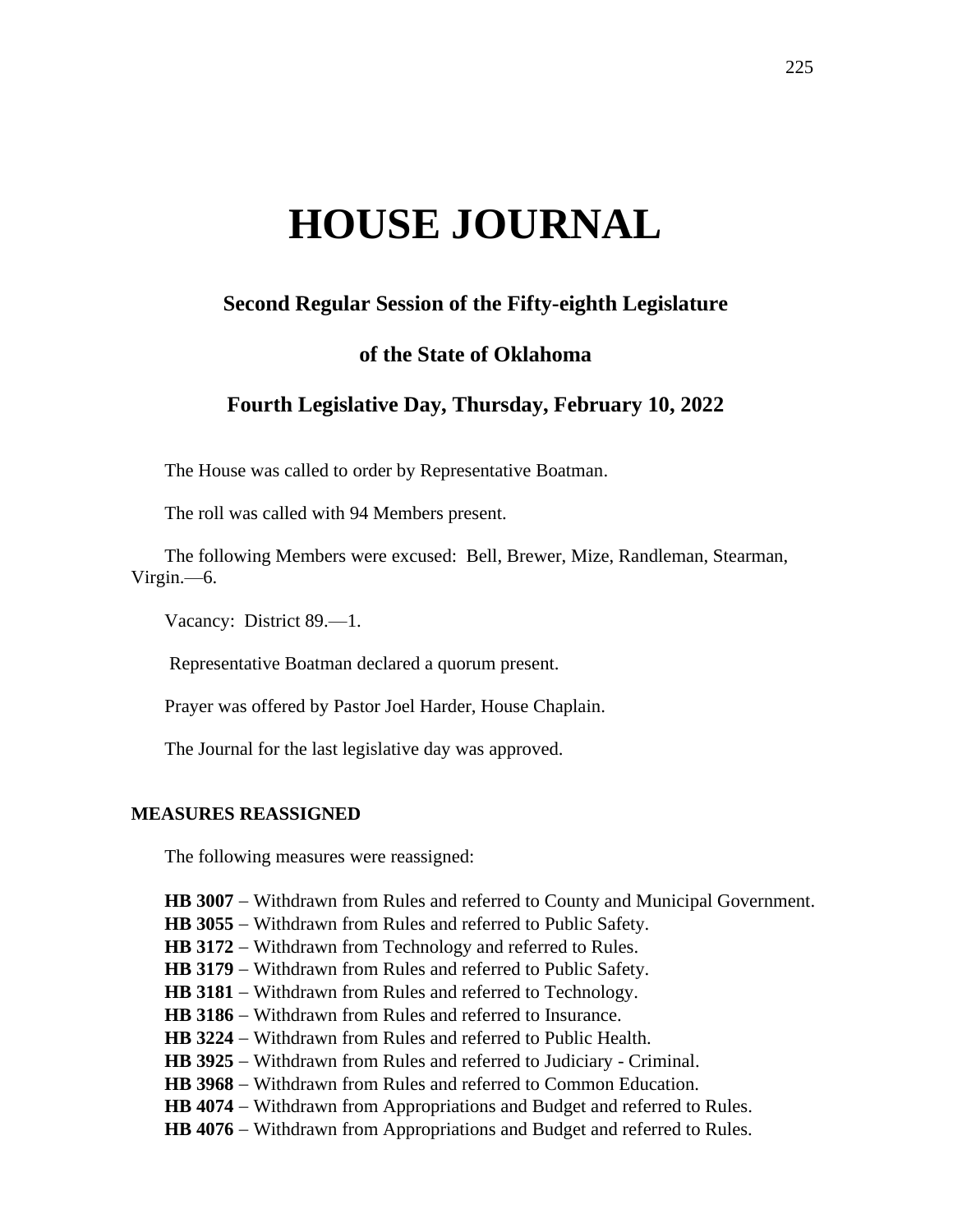# **HOUSE JOURNAL**

# **Second Regular Session of the Fifty-eighth Legislature**

# **of the State of Oklahoma**

# **Fourth Legislative Day, Thursday, February 10, 2022**

The House was called to order by Representative Boatman.

The roll was called with 94 Members present.

The following Members were excused: Bell, Brewer, Mize, Randleman, Stearman, Virgin.—6.

Vacancy: District 89.—1.

Representative Boatman declared a quorum present.

Prayer was offered by Pastor Joel Harder, House Chaplain.

The Journal for the last legislative day was approved.

#### **MEASURES REASSIGNED**

The following measures were reassigned:

**HB 3007** − Withdrawn from Rules and referred to County and Municipal Government.

- **HB 3055** − Withdrawn from Rules and referred to Public Safety.
- **HB 3172** − Withdrawn from Technology and referred to Rules.
- HB 3179 Withdrawn from Rules and referred to Public Safety.
- **HB 3181** − Withdrawn from Rules and referred to Technology.
- **HB 3186** − Withdrawn from Rules and referred to Insurance.
- **HB 3224** − Withdrawn from Rules and referred to Public Health.
- **HB 3925** − Withdrawn from Rules and referred to Judiciary Criminal.
- **HB 3968** − Withdrawn from Rules and referred to Common Education.
- HB 4074 − Withdrawn from Appropriations and Budget and referred to Rules.
- **HB 4076** − Withdrawn from Appropriations and Budget and referred to Rules.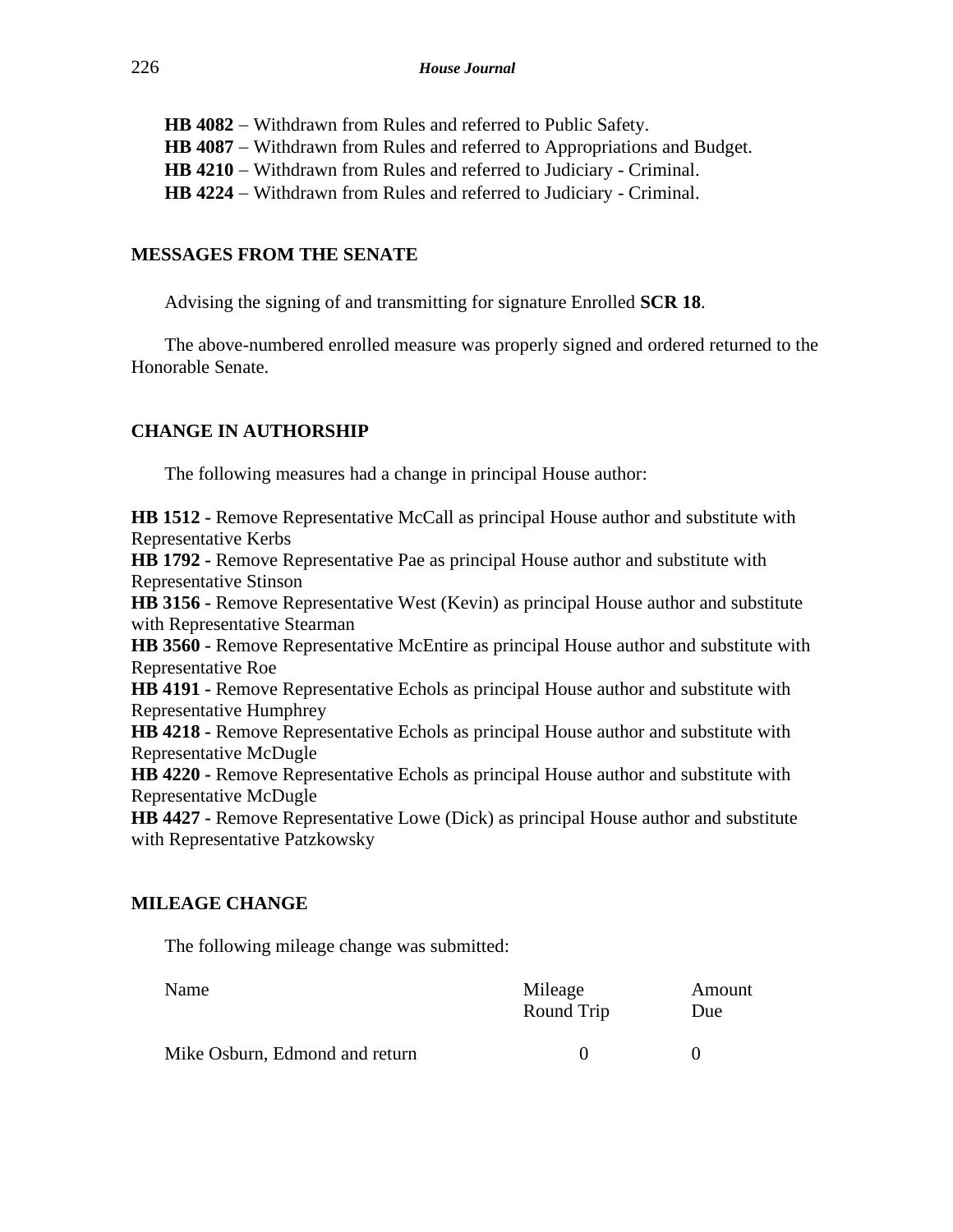**HB 4082** − Withdrawn from Rules and referred to Public Safety. **HB 4087** − Withdrawn from Rules and referred to Appropriations and Budget. **HB 4210** − Withdrawn from Rules and referred to Judiciary - Criminal. **HB 4224** − Withdrawn from Rules and referred to Judiciary - Criminal.

## **MESSAGES FROM THE SENATE**

Advising the signing of and transmitting for signature Enrolled **SCR 18**.

The above-numbered enrolled measure was properly signed and ordered returned to the Honorable Senate.

## **CHANGE IN AUTHORSHIP**

The following measures had a change in principal House author:

**HB 1512 -** Remove Representative McCall as principal House author and substitute with Representative Kerbs **HB 1792 -** Remove Representative Pae as principal House author and substitute with Representative Stinson **HB 3156 -** Remove Representative West (Kevin) as principal House author and substitute with Representative Stearman **HB 3560 -** Remove Representative McEntire as principal House author and substitute with Representative Roe **HB 4191 -** Remove Representative Echols as principal House author and substitute with Representative Humphrey **HB 4218 -** Remove Representative Echols as principal House author and substitute with Representative McDugle **HB 4220 -** Remove Representative Echols as principal House author and substitute with Representative McDugle **HB 4427 -** Remove Representative Lowe (Dick) as principal House author and substitute with Representative Patzkowsky

## **MILEAGE CHANGE**

The following mileage change was submitted:

| Name                           | Mileage<br>Round Trip | Amount<br>Due |
|--------------------------------|-----------------------|---------------|
| Mike Osburn, Edmond and return | $\mathbf{U}$          |               |